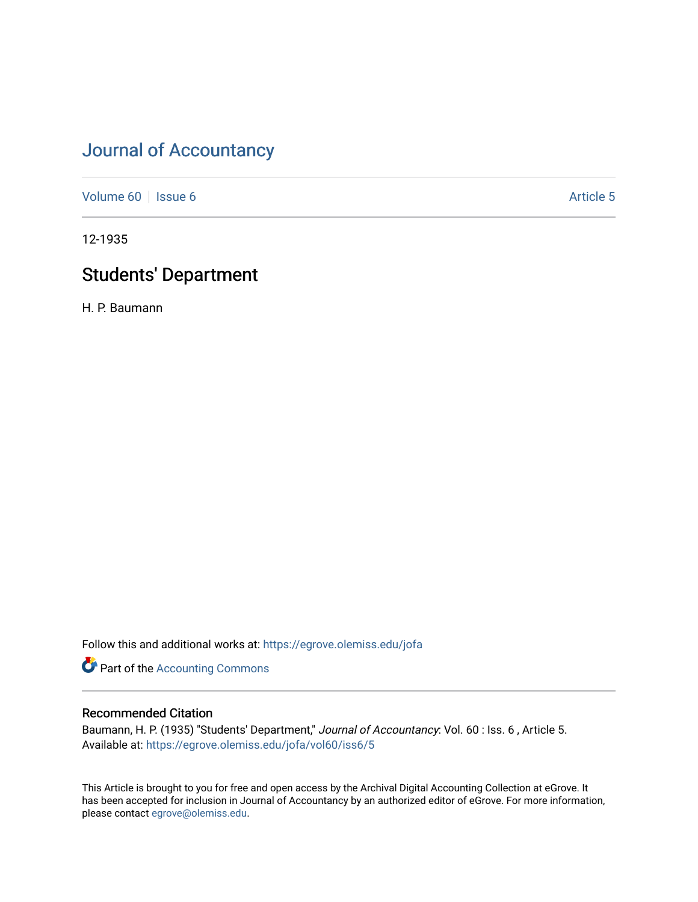[Volume 60](https://egrove.olemiss.edu/jofa/vol60) | [Issue 6](https://egrove.olemiss.edu/jofa/vol60/iss6) Article 5

12-1935

# Students' Department

H. P. Baumann

Follow this and additional works at: [https://egrove.olemiss.edu/jofa](https://egrove.olemiss.edu/jofa?utm_source=egrove.olemiss.edu%2Fjofa%2Fvol60%2Fiss6%2F5&utm_medium=PDF&utm_campaign=PDFCoverPages) 

**Part of the [Accounting Commons](http://network.bepress.com/hgg/discipline/625?utm_source=egrove.olemiss.edu%2Fjofa%2Fvol60%2Fiss6%2F5&utm_medium=PDF&utm_campaign=PDFCoverPages)** 

### Recommended Citation

Baumann, H. P. (1935) "Students' Department," Journal of Accountancy: Vol. 60 : Iss. 6, Article 5. Available at: [https://egrove.olemiss.edu/jofa/vol60/iss6/5](https://egrove.olemiss.edu/jofa/vol60/iss6/5?utm_source=egrove.olemiss.edu%2Fjofa%2Fvol60%2Fiss6%2F5&utm_medium=PDF&utm_campaign=PDFCoverPages) 

This Article is brought to you for free and open access by the Archival Digital Accounting Collection at eGrove. It has been accepted for inclusion in Journal of Accountancy by an authorized editor of eGrove. For more information, please contact [egrove@olemiss.edu.](mailto:egrove@olemiss.edu)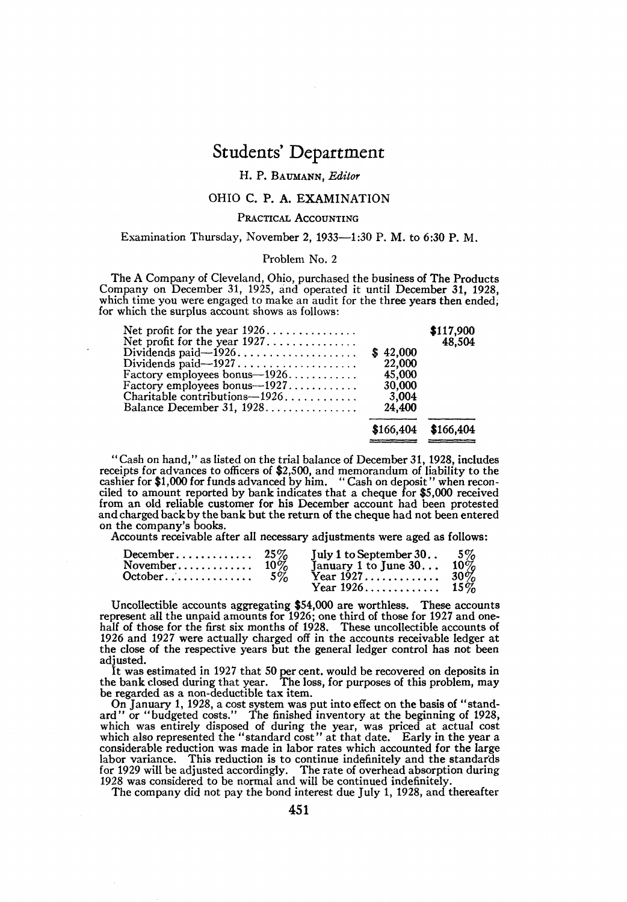#### H. P. Baumann, *Editor*

#### OHIO C. P. A. EXAMINATION

#### PRACTICAL ACCOUNTING

#### Examination Thursday, November 2, 1933—1:30 P. M. to 6:30 P. M.

#### Problem No. 2

The A Company of Cleveland, Ohio, purchased the business of The Products Company on December 31, 1925, and operated it until December 31, 1928, which time you were engaged to make an audit for the three years then ended, for which the surplus account shows as follows:

| Net profit for the year $1926$   |          | \$117,900<br>48.504   |
|----------------------------------|----------|-----------------------|
| Dividends paid— $1926$           | \$42,000 |                       |
|                                  | 22,000   |                       |
| Factory employees bonus— $1926$  | 45,000   |                       |
| Factory employees bonus-1927     | 30.000   |                       |
| Charitable contributions $-1926$ | 3,004    |                       |
| Balance December 31, 1928        | 24,400   |                       |
|                                  |          | $$166.404$ $$166.404$ |
|                                  |          |                       |

"Cash on hand," as listed on the trial balance of December 31, 1928, includes receipts for advances to officers of \$2,500, and memorandum of liability to the cashier for \$1,000 for funds advanced by him. "Cash on deposit" when reconciled to amount reported by bank indicates that a cheque for \$5,000 and charged back by the bank but the return of the cheque had not been entered on the company's books.

Accounts receivable after all necessary adjustments were aged as follows:

| December $25\%$                   |       | July 1 to September 30. $5\%$ |  |
|-----------------------------------|-------|-------------------------------|--|
| November $10\%$                   |       | January 1 to June 30 $10\%$   |  |
| $October \dots \dots \dots \dots$ | $5\%$ |                               |  |
|                                   |       |                               |  |

Uncollectible accounts aggregating \$54,000 are worthless. These accounts represent all the unpaid amounts for 1926; one third of those for 1927 and onehalf of those for the first six months of 1928. These uncollectible accounts of 1926 and 1927 were actually charged off in the accounts receivable ledger at the close of the respective years but the general ledger control has not been adjusted.

It was estimated in 1927 that 50 per cent. would be recovered on deposits in the bank closed during that year. The loss, for purposes of this problem, may be regarded as a non-deductible tax item.

On January 1, 1928, a cost system was put into effect on the basis of "stand-<br>ard" or "budgeted costs." The finished inventory at the beginning of 1928,<br>which was entirely disposed of during the year, was priced at actual 1928 was considered to be normal and will be continued indefinitely. The company did not pay the bond interest due July 1, 1928, and thereafter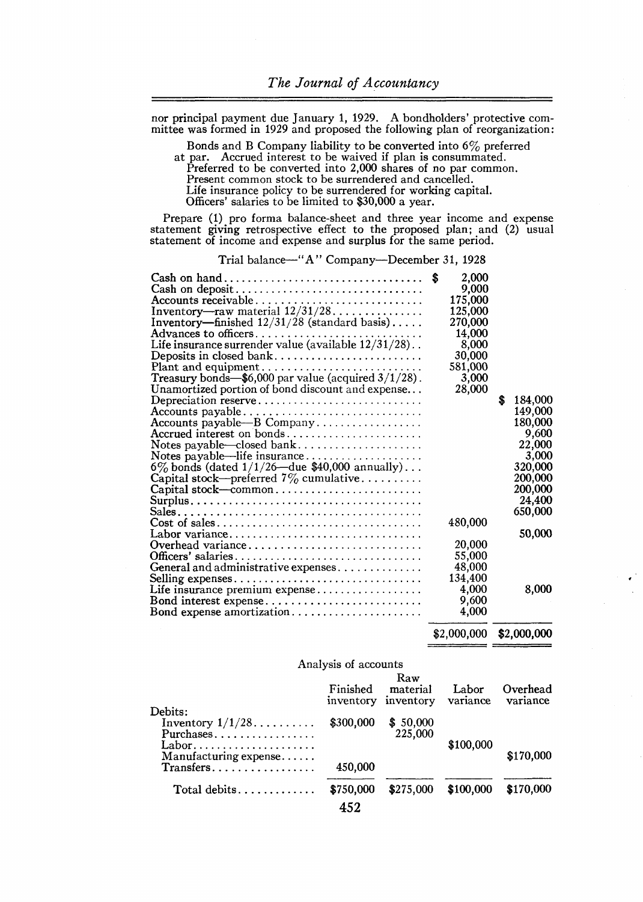nor principal payment due January 1, 1929. A bondholders' protective committee was formed in 1929 and proposed the following plan of reorganization:

Bonds and B Company liability to be converted into 6% preferred at par. Accrued interest to be waived if plan is consummated. Preferred to be converted into 2,000 shares of no par common. Present common stock to be surrendered and cancelled. Life insurance policy to be surrendered for working capital.

Officers' salaries to be limited to \$30,000 a year.

Prepare (1) pro forma balance-sheet and three year income and expense statement giving retrospective effect to the proposed plan; and (2) usual statement of income and expense and surplus for the same period.

Trial balance—"A" Company—December 31, 1928

| Inventory—finished $12/31/28$ (standard basis)<br>Life insurance surrender value (available $12/31/28$ )<br>Plant and equipment<br>Treasury bonds- $$6,000$ par value (acquired $3/1/28$ ).<br>Unamortized portion of bond discount and expense<br>Depreciation reserve<br>Accounts payable-B Company<br>Accrued interest on bonds<br>Notes payable-closed bank<br>Notes payable—life insurance<br>6\% bonds (dated $1/1/26$ —due \$40,000 annually)<br>Capital stock—preferred $7\%$ cumulative<br>$Cost of sales \dots \dots \dots \dots \dots \dots \dots \dots \dots \dots \dots$<br>Labor variance<br>Overhead variance | 2,000<br>9,000<br>175,000<br>125,000<br>270,000<br>14.000<br>8,000<br>30,000<br>581,000<br>3,000<br>28,000<br>480,000<br>20,000 | \$. | 184,000<br>149,000<br>180,000<br>9,600<br>22,000<br>3,000<br>320,000<br>200.000<br>200,000<br>24,400<br>650,000<br>50,000 |
|------------------------------------------------------------------------------------------------------------------------------------------------------------------------------------------------------------------------------------------------------------------------------------------------------------------------------------------------------------------------------------------------------------------------------------------------------------------------------------------------------------------------------------------------------------------------------------------------------------------------------|---------------------------------------------------------------------------------------------------------------------------------|-----|---------------------------------------------------------------------------------------------------------------------------|
|                                                                                                                                                                                                                                                                                                                                                                                                                                                                                                                                                                                                                              |                                                                                                                                 |     |                                                                                                                           |
| Officers' salaries<br>General and administrative expenses<br>Selling expenses<br>Bond interest expense<br>Bond expense amortization                                                                                                                                                                                                                                                                                                                                                                                                                                                                                          | 55,000<br>48,000<br>134,400<br>4,000<br>9,600<br>4,000                                                                          |     | 8,000                                                                                                                     |
|                                                                                                                                                                                                                                                                                                                                                                                                                                                                                                                                                                                                                              | \$2,000,000                                                                                                                     |     | \$2,000,000                                                                                                               |

Analysis of accounts

|                                                | Finished<br>inventory | Raw<br>material<br>inventory | Labor<br>variance | Overhead<br>variance |
|------------------------------------------------|-----------------------|------------------------------|-------------------|----------------------|
| Debits:<br>Inventory $1/1/28$<br>Purchases     | \$300,000             | \$50,000<br>225.000          |                   |                      |
| Labor<br>Manufacturing expense                 |                       |                              | \$100,000         | \$170,000            |
| $Transfers \ldots \ldots \ldots \ldots \ldots$ | 450,000               |                              |                   |                      |
|                                                | \$750,000<br>452      | \$275.000                    | \$100,000         | \$170,000            |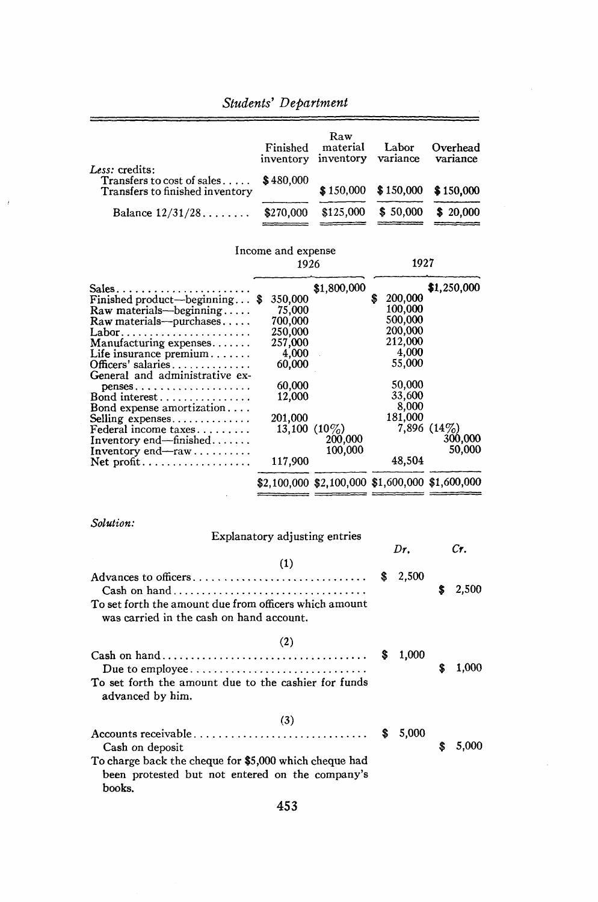|                                                                                       |                               | Raw                                             |                   |                      |  |
|---------------------------------------------------------------------------------------|-------------------------------|-------------------------------------------------|-------------------|----------------------|--|
|                                                                                       | Finished<br>inventory         | material<br>inventory                           | Labor<br>variance | Overhead<br>variance |  |
| <i>Less:</i> credits:                                                                 |                               |                                                 |                   |                      |  |
| $\bf Transfers$ to cost of sales $\ldots$ .<br><b>Transfers to finished inventory</b> | \$480,000                     | \$150,000                                       | \$150,000         | \$150,000            |  |
| Balance $12/31/28$                                                                    | \$270,000                     | \$125,000                                       | \$50,000          | \$20,000             |  |
|                                                                                       |                               |                                                 |                   |                      |  |
|                                                                                       | Income and expense            |                                                 |                   |                      |  |
|                                                                                       | 1926                          | 1927                                            |                   |                      |  |
|                                                                                       |                               |                                                 |                   |                      |  |
| Sales<br>Finished product—beginning $\$                                               | 350,000                       | \$1,800,000                                     | 200,000           | \$1,250,000          |  |
| Raw materials-beginning                                                               | 75.000                        |                                                 | 100,000           |                      |  |
| $Raw$ materials—purchases                                                             | 700,000                       |                                                 | 500,000           |                      |  |
|                                                                                       | 250,000                       |                                                 | 200,000           |                      |  |
| Manufacturing expenses                                                                | 257,000                       |                                                 | 212,000           |                      |  |
| Life insurance $\text{premium} \dots \dots$                                           | 4,000                         |                                                 | 4,000             |                      |  |
| Officers' salaries                                                                    | 60,000                        |                                                 | 55,000            |                      |  |
| General and administrative ex-                                                        |                               |                                                 |                   |                      |  |
| $penses \ldots \ldots \ldots \ldots \ldots \ldots$                                    | 60,000                        |                                                 | 50,000            |                      |  |
| Bond interest                                                                         | 12,000                        |                                                 | 33,600            |                      |  |
| Bond expense amortization                                                             |                               |                                                 | 8,000             |                      |  |
| Selling expenses                                                                      | 201,000                       |                                                 | 181,000           |                      |  |
| Federal income taxes                                                                  |                               | 13,100 $(10\%)$                                 |                   | $7,896$ (14\%)       |  |
| Inventory end—finished                                                                |                               | 200,000                                         |                   | 300,000              |  |
| Inventory $end$ —raw                                                                  |                               | 100,000                                         |                   | 50,000               |  |
|                                                                                       | 117,900                       |                                                 | 48,504            |                      |  |
|                                                                                       |                               | \$2,100,000 \$2,100,000 \$1,600,000 \$1,600,000 |                   |                      |  |
|                                                                                       |                               |                                                 |                   |                      |  |
| Solution:                                                                             |                               |                                                 |                   |                      |  |
|                                                                                       | Explanatory adjusting entries |                                                 |                   |                      |  |
|                                                                                       |                               |                                                 | Dr.               | Cr.                  |  |
|                                                                                       | (1)                           |                                                 |                   |                      |  |
|                                                                                       |                               |                                                 | 2,500<br>S        |                      |  |
| Advances to officers                                                                  |                               |                                                 |                   |                      |  |
|                                                                                       |                               |                                                 |                   | 2,500                |  |
| To set forth the amount due from officers which amount                                |                               |                                                 |                   |                      |  |
| was carried in the cash on hand account.                                              |                               |                                                 |                   |                      |  |
|                                                                                       |                               |                                                 |                   |                      |  |
|                                                                                       | (2)                           |                                                 |                   |                      |  |
|                                                                                       |                               |                                                 | 1,000<br>S        |                      |  |
| Due to employee $\dots\dots\dots\dots\dots\dots\dots\dots\dots\dots\dots\dots$        |                               |                                                 |                   | 1,000<br>S           |  |
|                                                                                       |                               |                                                 |                   |                      |  |
| To set forth the amount due to the cashier for funds                                  |                               |                                                 |                   |                      |  |
| advanced by him.                                                                      |                               |                                                 |                   |                      |  |
|                                                                                       |                               |                                                 |                   |                      |  |
|                                                                                       | (3)                           |                                                 |                   |                      |  |
| Accounts receivable                                                                   |                               |                                                 | 5,000             |                      |  |
| Cash on deposit                                                                       |                               |                                                 |                   | 5,000<br>\$          |  |
| To charge back the cheque for \$5,000 which cheque had                                |                               |                                                 |                   |                      |  |
|                                                                                       |                               |                                                 |                   |                      |  |
| been protested but not entered on the company's                                       |                               |                                                 |                   |                      |  |
| books.                                                                                |                               |                                                 |                   |                      |  |

 $\mathcal{A}$ 

453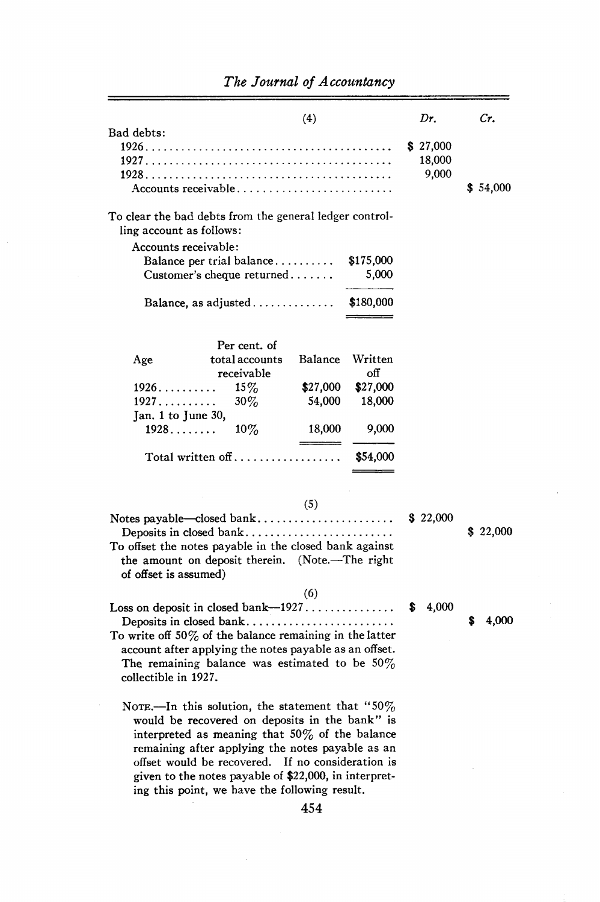| Bad debts:                                                                                                                                                                                                                  |                                                                                                                                                        | (4)                |                    | Dr.                         | Cr.      |
|-----------------------------------------------------------------------------------------------------------------------------------------------------------------------------------------------------------------------------|--------------------------------------------------------------------------------------------------------------------------------------------------------|--------------------|--------------------|-----------------------------|----------|
|                                                                                                                                                                                                                             | Accounts receivable                                                                                                                                    |                    |                    | \$27,000<br>18,000<br>9,000 | \$54,000 |
| To clear the bad debts from the general ledger control-<br>ling account as follows:                                                                                                                                         |                                                                                                                                                        |                    |                    |                             |          |
| Accounts receivable:                                                                                                                                                                                                        | Balance per trial balance<br>Customer's cheque returned                                                                                                |                    | \$175,000<br>5,000 |                             |          |
|                                                                                                                                                                                                                             | Balance, as adjusted                                                                                                                                   |                    | \$180,000          |                             |          |
|                                                                                                                                                                                                                             | Per cent. of                                                                                                                                           |                    |                    |                             |          |
| Age                                                                                                                                                                                                                         | total accounts                                                                                                                                         | Balance            | Written            |                             |          |
|                                                                                                                                                                                                                             | receivable                                                                                                                                             |                    | off                |                             |          |
| 1926<br>1927                                                                                                                                                                                                                | $15\%$<br>$30\%$                                                                                                                                       | \$27,000<br>54,000 | \$27,000<br>18,000 |                             |          |
| Jan. 1 to June 30,                                                                                                                                                                                                          |                                                                                                                                                        |                    |                    |                             |          |
| 1928                                                                                                                                                                                                                        | $10\%$                                                                                                                                                 | 18,000             | 9,000              |                             |          |
|                                                                                                                                                                                                                             |                                                                                                                                                        |                    |                    |                             |          |
|                                                                                                                                                                                                                             |                                                                                                                                                        |                    |                    |                             |          |
|                                                                                                                                                                                                                             |                                                                                                                                                        |                    |                    |                             |          |
|                                                                                                                                                                                                                             |                                                                                                                                                        |                    |                    |                             |          |
|                                                                                                                                                                                                                             |                                                                                                                                                        |                    |                    |                             | \$22,000 |
|                                                                                                                                                                                                                             |                                                                                                                                                        |                    |                    |                             |          |
| the amount on deposit therein. (Note.-The right<br>of offset is assumed)                                                                                                                                                    |                                                                                                                                                        |                    |                    |                             |          |
|                                                                                                                                                                                                                             |                                                                                                                                                        |                    |                    |                             |          |
|                                                                                                                                                                                                                             |                                                                                                                                                        |                    |                    | 4.000                       |          |
| Deposits in closed bank<br>To write off $50\%$ of the balance remaining in the latter<br>account after applying the notes payable as an offset.<br>The remaining balance was estimated to be $50\%$<br>collectible in 1927. |                                                                                                                                                        |                    |                    |                             | 4,000    |
|                                                                                                                                                                                                                             | NOTE.—In this solution, the statement that "50%<br>would be recovered on deposits in the bank" is<br>interpreted as meaning that $50\%$ of the balance |                    |                    |                             |          |
|                                                                                                                                                                                                                             | offset would be recovered. If no consideration is<br>given to the notes payable of \$22,000, in interpret-                                             |                    |                    |                             |          |
|                                                                                                                                                                                                                             |                                                                                                                                                        |                    |                    |                             |          |
| Deposits in closed bank<br>To offset the notes payable in the closed bank against<br>Loss on deposit in closed bank--1927                                                                                                   | Total written off<br>remaining after applying the notes payable as an<br>ing this point, we have the following result.                                 | (5)<br>(6)<br>454  | \$54,000           | \$22,000                    |          |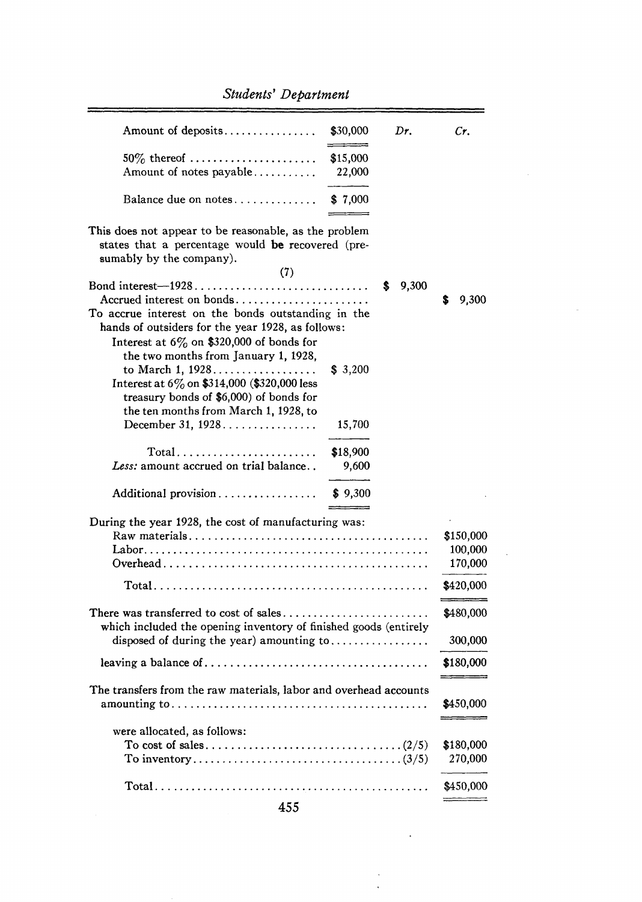| Amount of deposits                                                                                                                                                                                | \$30,000           | Dr.        | Cr.                             |
|---------------------------------------------------------------------------------------------------------------------------------------------------------------------------------------------------|--------------------|------------|---------------------------------|
| $50\%$ thereof<br>Amount of notes payable                                                                                                                                                         | \$15,000<br>22,000 |            |                                 |
| Balance due on notes                                                                                                                                                                              | \$7,000            |            |                                 |
| This does not appear to be reasonable, as the problem<br>states that a percentage would be recovered (pre-<br>sumably by the company).<br>(7)                                                     |                    |            |                                 |
| Bond interest-1928<br>Accrued interest on bonds<br>To accrue interest on the bonds outstanding in the<br>hands of outsiders for the year 1928, as follows:                                        |                    | 9,300<br>s | 9,300<br>S                      |
| Interest at $6\%$ on \$320,000 of bonds for<br>the two months from January 1, 1928,<br>to March 1, 1928<br>Interest at 6% on \$314,000 (\$320,000 less<br>treasury bonds of \$6,000) of bonds for | \$3,200            |            |                                 |
| the ten months from March 1, 1928, to<br>December 31, $1928$                                                                                                                                      | 15,700             |            |                                 |
| $Total \dots \dots \dots \dots \dots \dots \dots \dots$<br>Less: amount accrued on trial balance                                                                                                  | \$18,900<br>9,600  |            |                                 |
| Additional provision                                                                                                                                                                              | \$9,300            |            |                                 |
| During the year 1928, the cost of manufacturing was:                                                                                                                                              |                    |            | \$150,000<br>100,000<br>170,000 |
|                                                                                                                                                                                                   |                    |            | \$420,000                       |
| which included the opening inventory of finished goods (entirely                                                                                                                                  |                    |            | \$480,000                       |
| disposed of during the year) amounting to                                                                                                                                                         |                    |            | 300,000                         |
|                                                                                                                                                                                                   |                    |            | \$180,000                       |
| The transfers from the raw materials, labor and overhead accounts                                                                                                                                 |                    |            | \$450,000                       |
| were allocated, as follows:                                                                                                                                                                       |                    |            | \$180,000<br>270,000            |
|                                                                                                                                                                                                   |                    |            | \$450,000                       |

 $\hat{\boldsymbol{\epsilon}}$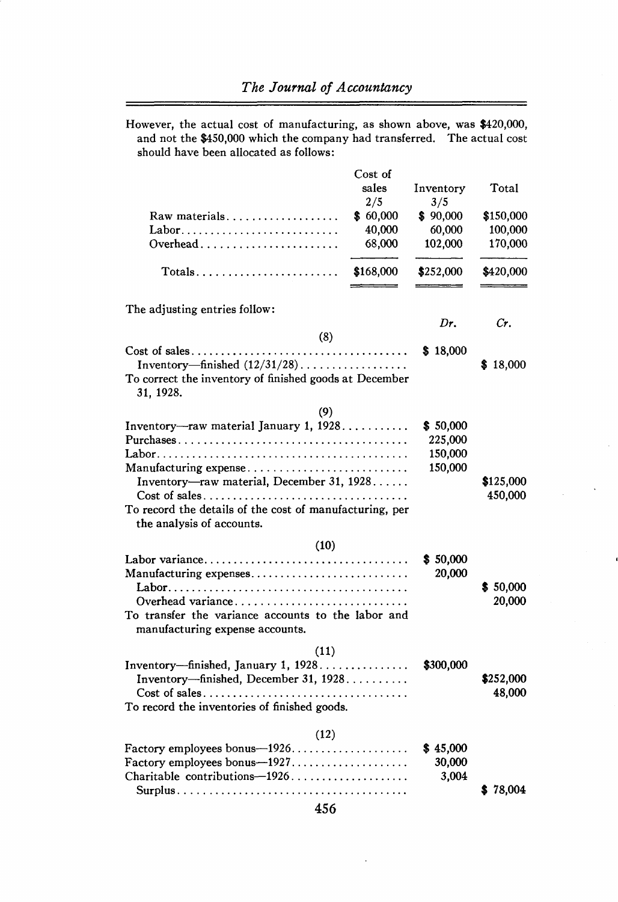—

However, the actual cost of manufacturing, as shown above, was \$420,000, and not the \$450,000 which the company had transferred. The actual cost should have been allocated as follows:

| Raw materials<br>Labor<br>Overhead                                                                                                                     | Cost of<br>sales<br>2/5<br>\$60,000<br>40,000<br>68,000 | Inventory<br>3/5<br>\$90,000<br>60,000<br>102,000 | Total<br>\$150,000<br>100,000<br>170,000 |
|--------------------------------------------------------------------------------------------------------------------------------------------------------|---------------------------------------------------------|---------------------------------------------------|------------------------------------------|
| $Totals \ldots \ldots \ldots \ldots \ldots \ldots$                                                                                                     | \$168,000                                               | \$252,000                                         | \$420,000                                |
| The adjusting entries follow:                                                                                                                          |                                                         |                                                   |                                          |
|                                                                                                                                                        |                                                         | Dr.                                               | Cr.                                      |
| (8)<br>Inventory—finished $(12/31/28)$<br>To correct the inventory of finished goods at December<br>31, 1928.                                          |                                                         | \$18,000                                          | \$18,000                                 |
| (9)<br>Inventory-raw material January 1, 1928<br>Manufacturing expense                                                                                 |                                                         | \$50,000<br>225,000<br>150,000<br>150,000         |                                          |
| Inventory-raw material, December 31, 1928<br>To record the details of the cost of manufacturing, per<br>the analysis of accounts.                      |                                                         |                                                   | \$125,000<br>450,000                     |
| (10)                                                                                                                                                   |                                                         |                                                   |                                          |
| Labor variance<br>Manufacturing expenses<br>Overhead variance<br>To transfer the variance accounts to the labor and<br>manufacturing expense accounts. |                                                         | \$50,000<br>20,000                                | \$50,000<br>20,000                       |
| (11)<br>Inventory—finished, January 1, 1928<br>Inventory-finished, December 31, 1928<br>To record the inventories of finished goods.                   |                                                         | \$300,000                                         | \$252,000<br>48,000                      |
| (12)<br>Factory employees bonus-1926<br>Factory employees bonus-1927<br>Charitable contributions-1926                                                  |                                                         | \$45,000<br>30,000<br>3,004                       | \$78.004                                 |
| 456                                                                                                                                                    |                                                         |                                                   |                                          |

l,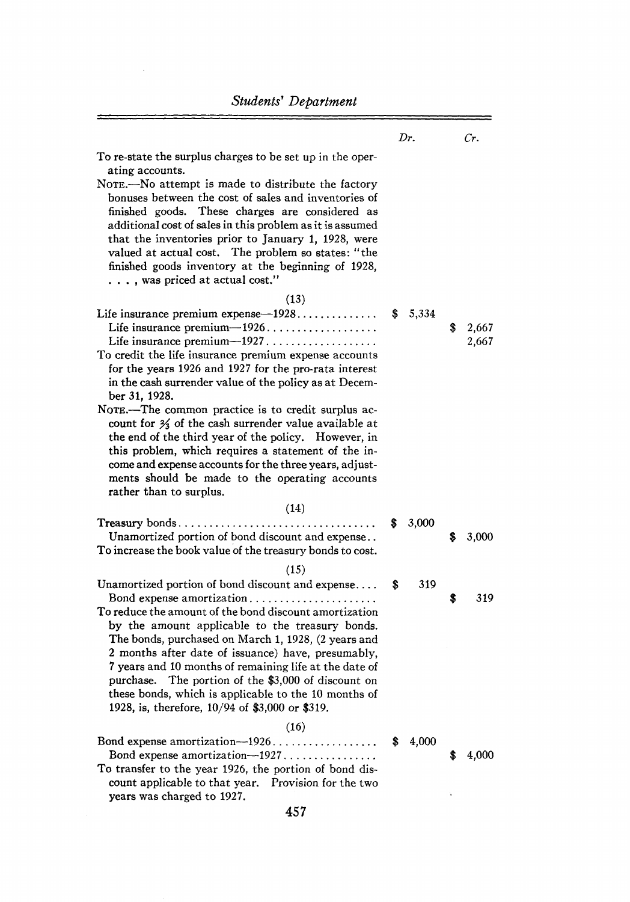$=$ 

 $\bar{\lambda}$ 

|                                                                                                                                                                                                                                                                                                                                                                                                                                                                                                                                                     |    | Dr.   |    | Cr.            |
|-----------------------------------------------------------------------------------------------------------------------------------------------------------------------------------------------------------------------------------------------------------------------------------------------------------------------------------------------------------------------------------------------------------------------------------------------------------------------------------------------------------------------------------------------------|----|-------|----|----------------|
| To re-state the surplus charges to be set up in the oper-<br>ating accounts.<br>NOTE.—No attempt is made to distribute the factory<br>bonuses between the cost of sales and inventories of<br>finished goods. These charges are considered as<br>additional cost of sales in this problem as it is assumed<br>that the inventories prior to January 1, 1928, were<br>valued at actual cost. The problem so states: "the<br>finished goods inventory at the beginning of 1928,<br>, was priced at actual cost."                                      |    |       |    |                |
| (13)<br>Life insurance premium expense $-1928$<br>Life insurance premium-1926<br>To credit the life insurance premium expense accounts<br>for the years 1926 and 1927 for the pro-rata interest<br>in the cash surrender value of the policy as at Decem-<br>ber 31, 1928.                                                                                                                                                                                                                                                                          | S  | 5,334 | \$ | 2,667<br>2,667 |
| NOTE.—The common practice is to credit surplus ac-<br>count for $\frac{2}{3}$ of the cash surrender value available at<br>the end of the third year of the policy. However, in<br>this problem, which requires a statement of the in-<br>come and expense accounts for the three years, adjust-<br>ments should be made to the operating accounts<br>rather than to surplus.                                                                                                                                                                        |    |       |    |                |
| (14)<br>$T$ reasury bonds<br>Unamortized portion of bond discount and expense<br>To increase the book value of the treasury bonds to cost.                                                                                                                                                                                                                                                                                                                                                                                                          | \$ | 3,000 | S  | 3,000          |
| (15)<br>Unamortized portion of bond discount and expense<br>Bond expense amortization<br>To reduce the amount of the bond discount amortization $\,$<br>by the amount applicable to the treasury bonds.<br>The bonds, purchased on March 1, 1928, (2 years and<br>2 months after date of issuance) have, presumably,<br>7 years and 10 months of remaining life at the date of<br>purchase.<br>The portion of the \$3,000 of discount on<br>these bonds, which is applicable to the 10 months of<br>1928, is, therefore, 10/94 of \$3,000 or \$319. | \$ | 319   | S  | 319            |
| (16)<br>Bond expense amortization-1926<br>Bond expense amortization-1927<br>To transfer to the year 1926, the portion of bond dis-<br>count applicable to that year. Provision for the two<br>years was charged to 1927.                                                                                                                                                                                                                                                                                                                            | S  | 4,000 | S  | 4,000          |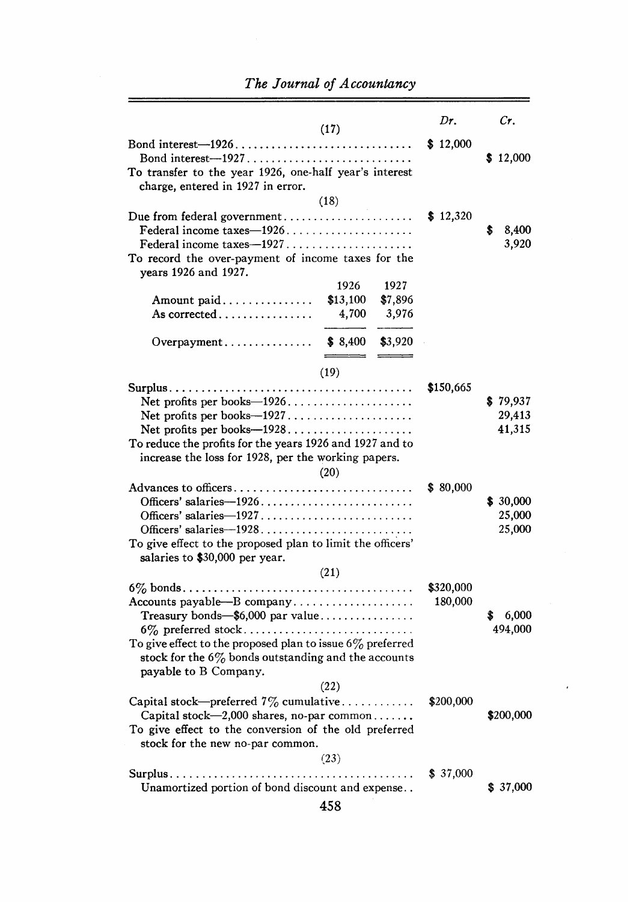$\overline{a}$ 

 $\equiv$ 

|                                                              |          |         | Dr.       | Cr.        |  |
|--------------------------------------------------------------|----------|---------|-----------|------------|--|
|                                                              | (17)     |         |           |            |  |
|                                                              |          |         | \$12,000  |            |  |
|                                                              |          |         |           | \$12,000   |  |
| To transfer to the year 1926, one-half year's interest       |          |         |           |            |  |
| charge, entered in 1927 in error.                            |          |         |           |            |  |
|                                                              | (18)     |         |           |            |  |
|                                                              |          |         | \$12,320  |            |  |
|                                                              |          |         |           | 8,400<br>s |  |
|                                                              |          |         |           | 3,920      |  |
| To record the over-payment of income taxes for the           |          |         |           |            |  |
| years 1926 and 1927.                                         |          |         |           |            |  |
|                                                              | 1926     | 1927    |           |            |  |
| Amount paid                                                  | \$13,100 | \$7,896 |           |            |  |
| As corrected $\ldots \ldots \ldots \ldots \ldots$            | 4,700    | 3,976   |           |            |  |
|                                                              |          |         |           |            |  |
|                                                              | \$8,400  | \$3,920 |           |            |  |
|                                                              |          |         |           |            |  |
|                                                              | (19)     |         |           |            |  |
|                                                              |          |         |           |            |  |
|                                                              |          |         | \$150,665 |            |  |
|                                                              |          |         |           | \$79,937   |  |
|                                                              |          |         |           | 29,413     |  |
|                                                              |          |         |           | 41,315     |  |
| To reduce the profits for the years 1926 and 1927 and to     |          |         |           |            |  |
| increase the loss for 1928, per the working papers.          |          |         |           |            |  |
|                                                              | (20)     |         |           |            |  |
| Advances to officers                                         |          |         | \$ 80,000 |            |  |
|                                                              |          |         |           | \$30,000   |  |
|                                                              |          |         |           | 25,000     |  |
|                                                              |          |         |           | 25,000     |  |
| To give effect to the proposed plan to limit the officers'   |          |         |           |            |  |
| salaries to \$30,000 per year.                               |          |         |           |            |  |
|                                                              | (21)     |         |           |            |  |
|                                                              |          |         | \$320,000 |            |  |
|                                                              |          |         | 180,000   |            |  |
| Treasury bonds— $$6,000$ par value                           |          |         |           | \$ 6,000   |  |
|                                                              |          |         |           | 494,000    |  |
| To give effect to the proposed plan to issue $6\%$ preferred |          |         |           |            |  |
| stock for the $6\%$ bonds outstanding and the accounts       |          |         |           |            |  |
| payable to B Company.                                        |          |         |           |            |  |
|                                                              | (22)     |         |           |            |  |
| Capital stock—preferred $7\%$ cumulative                     |          |         | \$200,000 |            |  |
|                                                              |          |         |           | \$200,000  |  |
| Capital stock—2,000 shares, no-par common                    |          |         |           |            |  |
| To give effect to the conversion of the old preferred        |          |         |           |            |  |
| stock for the new no-par common.                             |          |         |           |            |  |
|                                                              | (23)     |         |           |            |  |
|                                                              |          |         | \$ 37,000 |            |  |
| Unamortized portion of bond discount and expense             |          |         |           | \$37,000   |  |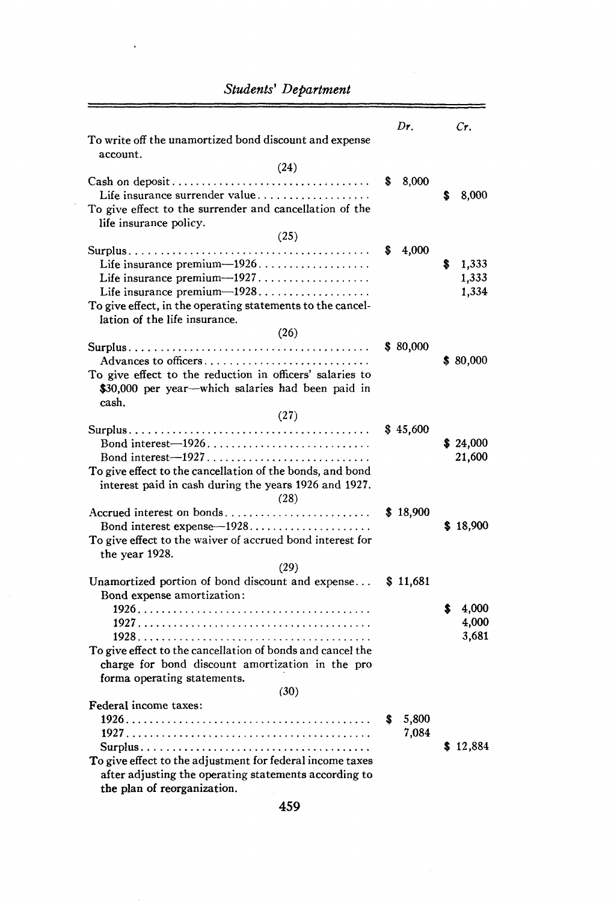| To write off the unamortized bond discount and expense                                                                                                                                                                                  | Dr.                 | Cr.                          |
|-----------------------------------------------------------------------------------------------------------------------------------------------------------------------------------------------------------------------------------------|---------------------|------------------------------|
| account.<br>(24)                                                                                                                                                                                                                        |                     |                              |
| Life insurance surrender value<br>To give effect to the surrender and cancellation of the<br>life insurance policy.                                                                                                                     | 8,000<br>S          | 8,000<br>s                   |
| (25)<br>Life insurance premium-1926.<br>Life insurance premium— $1927$<br>Life insurance premium-1928<br>To give effect, in the operating statements to the cancel-<br>lation of the life insurance.                                    | 4,000<br>S          | 1,333<br>s<br>1,333<br>1,334 |
| (26)<br>Advances to officers<br>To give effect to the reduction in officers' salaries to<br>\$30,000 per year—which salaries had been paid in<br>cash.<br>(27)                                                                          | \$80,000            | \$80,000                     |
| To give effect to the cancellation of the bonds, and bond<br>interest paid in cash during the years 1926 and 1927.<br>(28)                                                                                                              | \$45,600            | \$24,000<br>21,600           |
| Accrued interest on bonds<br>To give effect to the waiver of accrued bond interest for<br>the year 1928.<br>(29)                                                                                                                        | \$18,900            | \$18,900                     |
| Unamortized portion of bond discount and expense<br>Bond expense amortization:<br>To give effect to the cancellation of bonds and cancel the<br>charge for bond discount amortization in the pro<br>forma operating statements.<br>(30) | \$11,681            | 4,000<br>s<br>4,000<br>3,681 |
| Federal income taxes:<br>To give effect to the adjustment for federal income taxes<br>after adjusting the operating statements according to<br>the plan of reorganization.                                                              | 5,800<br>s<br>7,084 | \$12,884                     |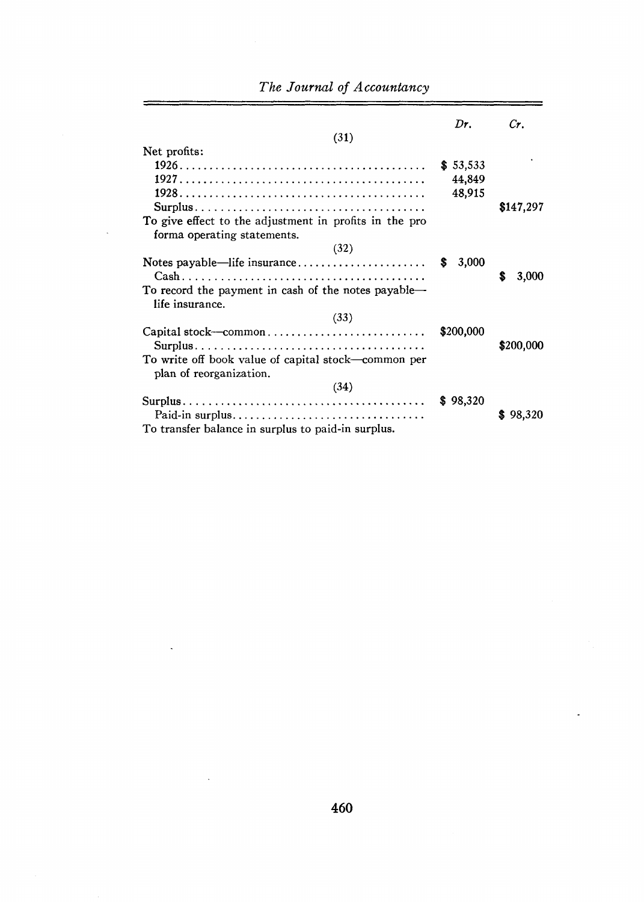| (31)                                                                                                                                                                    | Dr.                          | Cr.         |
|-------------------------------------------------------------------------------------------------------------------------------------------------------------------------|------------------------------|-------------|
| Net profits:<br>$Surplus \ldots \ldots \ldots \ldots \ldots \ldots \ldots \ldots \ldots \ldots \ldots \ldots$<br>To give effect to the adjustment in profits in the pro | \$53,533<br>44,849<br>48,915 | \$147,297   |
| forma operating statements.<br>(32)                                                                                                                                     | 3,000<br>S                   |             |
| To record the payment in cash of the notes payable—<br>life insurance.                                                                                                  |                              | 3,000<br>S  |
| (33)                                                                                                                                                                    |                              |             |
| Capital stock-common                                                                                                                                                    | \$200,000                    | \$200,000   |
| To write off book value of capital stock—common per<br>plan of reorganization.                                                                                          |                              |             |
| (34)                                                                                                                                                                    |                              |             |
| Paid-in surplus                                                                                                                                                         | \$98,320                     | 98,320<br>S |
| To transfer balance in surplus to paid-in surplus.                                                                                                                      |                              |             |

Ξ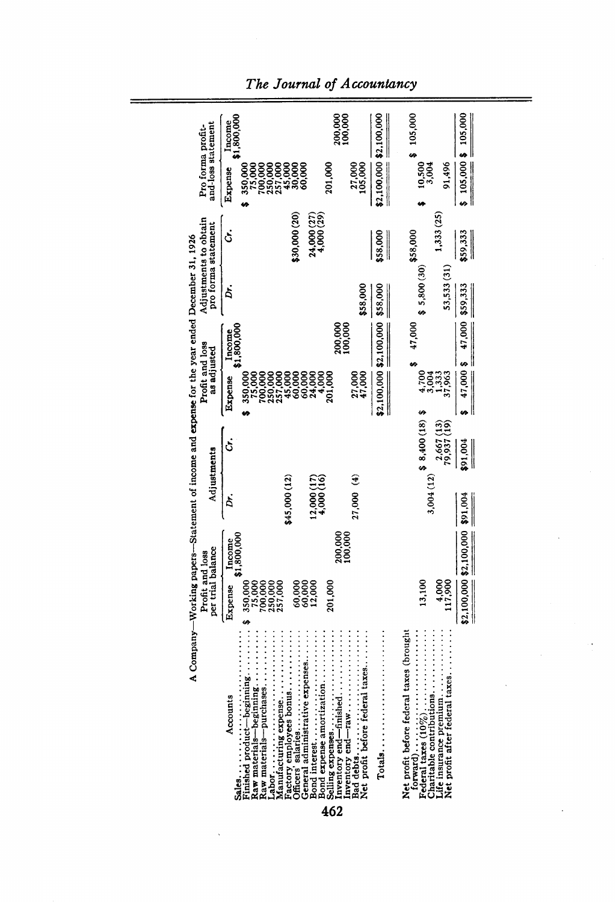| and-loss statement<br>Pro forma profit-                                                       | \$1,800,000<br>Income<br>Expense | 350,000<br>75,000                                                                                                                                                                                                                                     | 200,000<br>100,000<br>201,000<br>27,000<br>105,000                                                | \$2,100,000 \$2,100,000 | 105,000<br>10,500<br>91,496<br>3,004                                                                                             | $$105,000$ \$ 105,000   |
|-----------------------------------------------------------------------------------------------|----------------------------------|-------------------------------------------------------------------------------------------------------------------------------------------------------------------------------------------------------------------------------------------------------|---------------------------------------------------------------------------------------------------|-------------------------|----------------------------------------------------------------------------------------------------------------------------------|-------------------------|
|                                                                                               | Š                                | 24,000 (27)<br>4,000 (29)<br>\$30,000 (20)                                                                                                                                                                                                            |                                                                                                   |                         | 1,333 (25)                                                                                                                       |                         |
| Adjustments to obtain<br>pro forma statement                                                  |                                  |                                                                                                                                                                                                                                                       |                                                                                                   | \$58,000<br>$\parallel$ | \$58,000<br>53,533 (31)                                                                                                          | 59,333                  |
|                                                                                               | Ď.                               |                                                                                                                                                                                                                                                       | \$58,000                                                                                          | \$58,000                | \$5,800(30)                                                                                                                      | \$59,333                |
|                                                                                               | Income<br>\$1,800,000            |                                                                                                                                                                                                                                                       | 200,000<br>100,000                                                                                |                         | 47,000                                                                                                                           | 47,000 \$ 47,000        |
| Profit and loss<br>as adjusted                                                                | Expense                          | 350,000                                                                                                                                                                                                                                               | 27,000<br>47,000<br>201,000                                                                       | \$2,100,000 \$2,100,000 | 4,7004<br>1,333<br>37,963                                                                                                        |                         |
| A Company-Working papers-Statement of income and expense for the year ended December 31, 1926 | .<br>S                           |                                                                                                                                                                                                                                                       |                                                                                                   |                         | $3,004(12)$ \$ 8,400 (18) \$<br>$79,937(13)$<br>$79,937(19)$                                                                     | 91,004                  |
| Adjustments                                                                                   | Ďr.                              | \$45,000 (12)<br>$12,000(17)$<br>$4,000(16)$                                                                                                                                                                                                          | $(4)$ 000,71                                                                                      |                         |                                                                                                                                  | \$91,004<br>I           |
|                                                                                               | Income                           | \$1,800,000                                                                                                                                                                                                                                           | 200,000<br>100,000                                                                                |                         |                                                                                                                                  |                         |
| per trial balance<br>Profit and loss                                                          | Expense                          | 75,000<br>700,000<br>2557,000<br>350,000<br>60,000<br>60,000<br>60,000<br>ø                                                                                                                                                                           | 201,000                                                                                           |                         | 13,100<br>006'11<br>117,900                                                                                                      | \$2,100,000 \$2,100,000 |
|                                                                                               | Accounts                         | Finished product-beginning<br>General administrative expenses<br>Bond interest<br>Raw materials--purchases<br>Bond expense amortization<br>Raw materials-beginning<br>Manufacturing expense<br>Officers' salaries<br>Factory employees bonus<br>Sales | Selling expenses<br>Inventory end—finished<br>Net profit before federal taxes<br>Bad debts<br>462 |                         | Life insurance premium<br>Net profit after federal taxes<br>Net profit before federal taxes (brought<br>Charitable contributions |                         |

*The Journal of Accountancy*

Ĩ.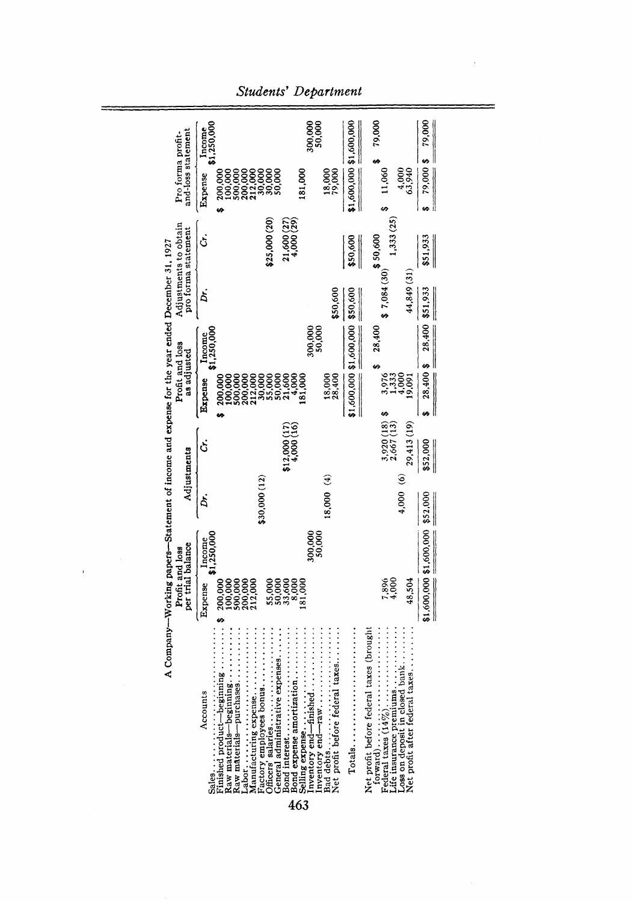|                                                                                               | \$1,250,000<br>Income                                                                                                                                                                                          | 300,000<br>50,000                                                                                                         | 79,000                                                                                                                                                                                  | 79,000                  |
|-----------------------------------------------------------------------------------------------|----------------------------------------------------------------------------------------------------------------------------------------------------------------------------------------------------------------|---------------------------------------------------------------------------------------------------------------------------|-----------------------------------------------------------------------------------------------------------------------------------------------------------------------------------------|-------------------------|
| and-loss statement<br>Pro forma profit-                                                       | 100,000<br>200,000<br>500,000<br>88888<br>13888<br>200,000<br>Expense                                                                                                                                          | 18,000<br>79,000<br>181,000                                                                                               | \$1,600,000 \$1,600,000<br>11,060<br> <br> <br> <br> <br>4,900<br>63,940                                                                                                                | 79,000\$                |
| Adjustments to obtain<br>pro forma statement                                                  | 21,600 (27)<br>4,000 (29)<br>\$25,000 (20)<br>Ċ.                                                                                                                                                               |                                                                                                                           | 1,333 (25)<br>\$50,600<br>\$50,600<br>I                                                                                                                                                 | \$51,933<br>I           |
|                                                                                               | À.                                                                                                                                                                                                             | \$50,600                                                                                                                  | \$7,084 (30)<br>44,849 (31)<br>\$50,600                                                                                                                                                 | \$51,933<br>I           |
|                                                                                               | \$1,250,000<br>Income                                                                                                                                                                                          | 50,000<br>300,000                                                                                                         | \$1,600,000 \$1,600,000<br>28,400                                                                                                                                                       | 28,400                  |
| Profit and loss<br>as adjusted                                                                | 00,000<br>500,000<br>21,500<br>200,000<br>212,000<br>30,000<br>55,000<br>50,000<br>200,000<br>Expense                                                                                                          | 18,000<br>28,400<br>81,000                                                                                                | 3,976<br>4,000<br>19,091                                                                                                                                                                | 28,400 \$               |
| A Company-Working papers-Statement of income and expense for the year ended December 31, 1927 | $$12,000(17)$<br>$4,000(16)$<br>Ċ.                                                                                                                                                                             |                                                                                                                           | $3,920(18)$<br>$2,667(13)$<br>29,413 (19)                                                                                                                                               | \$52,000                |
| Adjustments                                                                                   | \$30,000 (12)<br>Ď.                                                                                                                                                                                            | (4)                                                                                                                       | $\hat{\circ}$<br>4,000                                                                                                                                                                  | \$52,000                |
|                                                                                               | \$1,250,000<br>ncome                                                                                                                                                                                           | 300,000                                                                                                                   |                                                                                                                                                                                         | \$1,600,000 \$1,600,000 |
| per trial balance<br>Profit and loss                                                          | 100,000<br>500,000<br>200,000<br>200,000<br>212,000<br>53,600<br>53,600<br>Expense<br>69                                                                                                                       | 8,000                                                                                                                     | 4,000<br>48,504<br>7,896                                                                                                                                                                |                         |
|                                                                                               | Finished product-beginning<br>Raw materials-beginning<br>General administrative expenses<br>Raw materials--purchases<br>actory employees bonus<br>Manufacturing expense<br>Bond interest<br>Accounts<br>Sales. | Net profit before federal taxes<br>nventory end-raw<br>Bond expense amortization<br>nventory end—finished $\ldots \ldots$ | .<br>Net profit after federal taxes<br>$To tag. \ldots, \ldots, \ldots, \ldots$<br>oss on deposit in closed bank<br>Net profit before federal taxes (brought<br>life insurance premiums |                         |

 $\bar{\mathbf{r}}$ 

*Students' Department*

463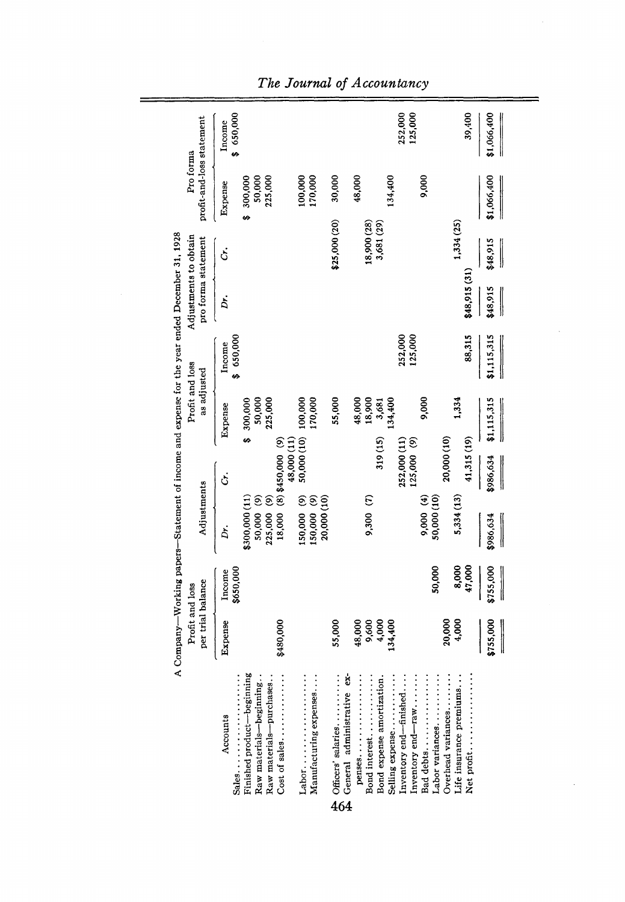|                                                                                                 | per trial balance<br>Profit and loss |                                                                                                       | A Company-Working papers-Statement of income and expense for the year ended December 31, 1928<br>Adjustments |                                         | Profit and loss<br>as adjusted |                    | Adjustments to obtain<br>pro forma statement |                         | profit-and-loss statement<br>Pro forma  |                    |
|-------------------------------------------------------------------------------------------------|--------------------------------------|-------------------------------------------------------------------------------------------------------|--------------------------------------------------------------------------------------------------------------|-----------------------------------------|--------------------------------|--------------------|----------------------------------------------|-------------------------|-----------------------------------------|--------------------|
| Accounts                                                                                        | Expense                              | Income                                                                                                | Dr.                                                                                                          | Ċ.                                      | Expense                        | Income             | Ď,                                           | ċ.                      | Expense                                 | Income             |
| Finished product-beginning<br>Raw materials-beginning<br>Raw materials--purchases<br>.<br>Sales |                                      | \$650,000                                                                                             | 225,000 (9)<br>50,000 (9)<br>\$300,000 (11)                                                                  |                                         | 50,000<br>225,000<br>\$300,000 | \$650,000          |                                              |                         | $300,000$<br>$50,000$<br>$225,000$<br>ø | \$ 650,000         |
| Cost of sales. $\dots\dots\dots$                                                                | \$480,000                            |                                                                                                       |                                                                                                              | 48,000 (11)<br>18,000 (8) \$450,000 (9) |                                |                    |                                              |                         |                                         |                    |
| Manufacturing expenses<br>$\mathsf{Labor}\dots\dots\dots\dots\dots\dots$                        |                                      |                                                                                                       | 150,000 (9)<br>150,000 (9)<br>20,000 (10)                                                                    | 50,000 (10)                             | 100,000<br>170,000             |                    |                                              |                         | 100,000<br>170,000                      |                    |
| Officers' salaries<br>General administrative ex-<br>464                                         | 55,000                               |                                                                                                       |                                                                                                              |                                         | 55,000                         |                    |                                              | \$25,000 (20)           | 30,000                                  |                    |
| penses<br>Bond interest                                                                         | 48,000                               |                                                                                                       | 9,300 (7)                                                                                                    |                                         | 18,900<br>48,000               |                    |                                              | 18,900 (28)             | 48,000                                  |                    |
| Selling expense<br>Bond expense amortization.                                                   | 9,600<br>4,000<br>134,400            |                                                                                                       |                                                                                                              | 319 (15)                                | 34,400<br>3,681                |                    |                                              | 3,681 (29)              | 134,400                                 |                    |
| nventory end-raw<br>Inventory end—finished                                                      |                                      |                                                                                                       |                                                                                                              | 252,000 (11)<br>125,000(9)              |                                | 252,000<br>125,000 |                                              |                         |                                         | 252,000<br>125,000 |
| abor variances                                                                                  |                                      | 50,000                                                                                                | 9,000(4)<br>50,000 (10)                                                                                      |                                         | 9,000                          |                    |                                              |                         | 9,000                                   |                    |
| Overhead variances<br>Life insurance premiums                                                   | 20,000<br>4,000                      | 8,000<br>47,000                                                                                       | 5,334 (13)                                                                                                   | 20,000 (10)<br>41,315 (19)              | 1,334                          | 88,315             | \$48,915 (31)                                | 1,334 (25)              |                                         | 39,400             |
|                                                                                                 | \$755,000                            | \$755,000<br>$\begin{array}{c} \begin{array}{c} \begin{array}{c} \end{array} \end{array} \end{array}$ | \$986,634                                                                                                    | \$986,634                               | \$1,115,315                    | \$1,115,315        | \$48,915<br>I                                | \$48,915<br>$\parallel$ | \$1,066,400                             | \$1,066,400        |
|                                                                                                 |                                      |                                                                                                       |                                                                                                              |                                         |                                |                    |                                              |                         |                                         |                    |

 $\bar{z}$ 

*The Journal of Accountancy*

 $=$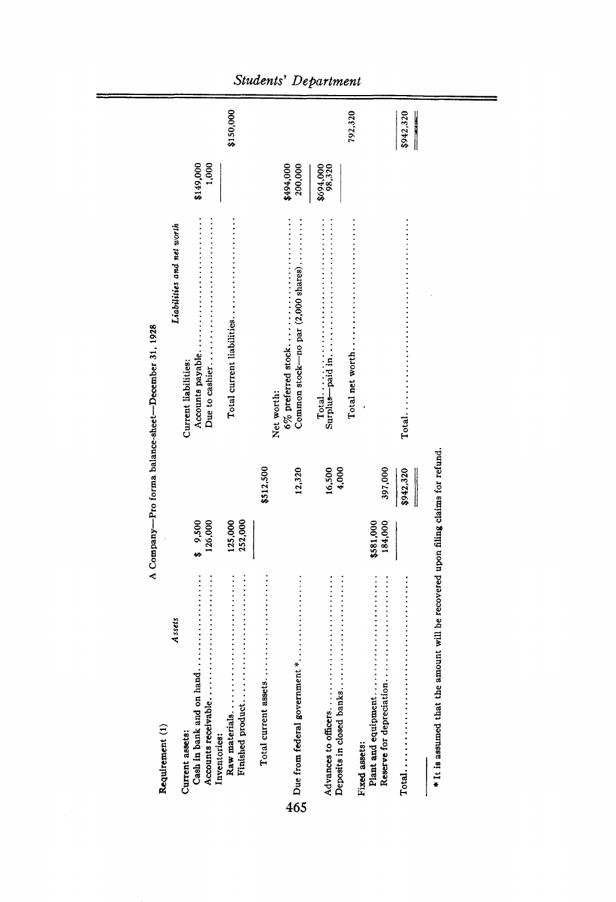| Requirement (1)                                                                  |                      |                 | A Company-Pro forma balance-sheet-December 31, 1928 |                      |           |
|----------------------------------------------------------------------------------|----------------------|-----------------|-----------------------------------------------------|----------------------|-----------|
| Assets                                                                           |                      |                 | Liabilities and net worth                           |                      |           |
| Current assets:<br>Inventories:                                                  | \$9,500<br>126,000   |                 | Current liabilities:                                | 1,000<br>\$149,000   |           |
|                                                                                  | 252,000<br>125,000   |                 |                                                     |                      | \$150,000 |
|                                                                                  |                      | \$512,500       | Net worth:                                          |                      |           |
|                                                                                  |                      | 12,320          | Common stock-no par $(2,000 \text{ shares})$        | 200,000<br>\$494,000 |           |
|                                                                                  |                      | 16,500<br>4,000 |                                                     | \$694,000<br>98,320  |           |
| Fixed assets:                                                                    |                      |                 |                                                     |                      | 792,320   |
| Reserve for depreciation                                                         | 184,000<br>\$581,000 | 397,000         |                                                     |                      |           |
|                                                                                  |                      | \$942,320       |                                                     |                      | \$942,320 |
| * It is assumed that the amount will be recovered upon filing claims for refund. |                      |                 |                                                     |                      |           |

 $=$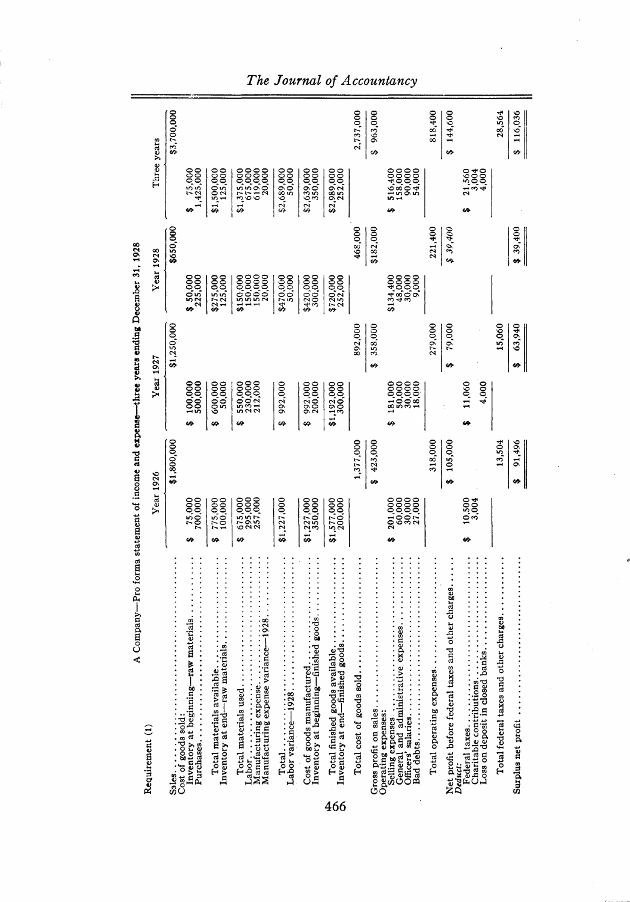| A Company—Pro forma statement of income and expense—three years ending December 31, 1928                              |                                       |             |                                            |              |                                                                          |                  |                                                        |             |
|-----------------------------------------------------------------------------------------------------------------------|---------------------------------------|-------------|--------------------------------------------|--------------|--------------------------------------------------------------------------|------------------|--------------------------------------------------------|-------------|
| Requirement (1)                                                                                                       | <b>Year 1926</b>                      |             | <b>Year 1927</b>                           |              |                                                                          | <b>Year 1928</b> | Three years                                            |             |
|                                                                                                                       |                                       | \$1,800,000 |                                            | \$1,250,000  |                                                                          | \$650,000        |                                                        | \$3,700,000 |
| Inventory at beginning—raw materials                                                                                  | 75,000<br>700,000<br>6Ą               |             | 100,000<br>500,000<br>u                    |              | \$50,000                                                                 |                  | $\begin{array}{cc} 1,425,000 \\ 1,425,000 \end{array}$ |             |
| Inventory at end-raw materials<br>Total materials available                                                           | 775,000<br>100,000<br>÷,              |             | 600,000<br>50,000<br>æ                     |              | \$275,000<br>125,000                                                     |                  | \$1,500,000<br>125,000                                 |             |
| Manufacturing expense variance-1928<br>Manufacturing expense<br>Total materials used                                  | 675,000<br>295,000<br>257,000<br>မာ   |             | 550,000<br>230,000<br>212,000<br>Ø         |              | $\begin{array}{c} $150,000 \\ 150,000 \\ 150,000 \\ 150,000 \end{array}$ |                  | 675,000<br>619,000<br>20,000<br>\$1,375,000            |             |
| Labor variance-1928                                                                                                   | \$1,227,000                           |             | 992,000<br>ó                               |              | \$470,000<br>50,000                                                      |                  | \$2,689,000<br>50,000                                  |             |
| nventory at beginning—finished goods<br>Cost of goods manufactured                                                    | 350,000<br>\$1,227,000                |             | 992,000<br>200,000<br>۵                    |              | \$420,000<br>300,000                                                     |                  | 350,000<br>\$2,639,000                                 |             |
| nventory at end-finished goods.<br>Total finished goods available<br>466                                              | \$1,577,000<br>200,000                |             | \$1,192,000<br>300,000                     |              | \$720,000<br>252,000                                                     |                  | \$2,989,000<br>252,000                                 |             |
| Total cost of goods sold                                                                                              |                                       | 1,377,000   |                                            | 892,000      |                                                                          | 468,000          |                                                        | 2,737,000   |
| General and administrative expenses<br>Bad debts<br>Selling expenses<br>Gross profit on sales.<br>Operating expenses: | 201,000<br>60,000<br>30,000<br>27,000 | \$423,000   | 30,000<br>18,000<br>181,000<br>50,000<br>v | \$358,000    | \$134,400<br>48,000<br>30,000<br>9,000                                   | \$182,000        | 516,400<br>158,000<br>90,000<br>54,000                 | \$963,000   |
| Total operating expenses                                                                                              |                                       | 318,000     |                                            | 279,000      |                                                                          | 221,400          |                                                        | 818,400     |
| Net profit before federal taxes and other charges<br>Deduci.                                                          |                                       | \$105,000   |                                            | 79,000<br>e9 |                                                                          | \$39,400         |                                                        | \$144,600   |
| Charitable contributions.                                                                                             | 10,500                                |             | 4,000<br>11,060<br>۵À                      |              |                                                                          |                  | 21,560<br>3,004<br>4,000                               |             |
| Total federal taxes and other charges.                                                                                |                                       | 13,504      |                                            | 15,060       |                                                                          |                  |                                                        | 28,564      |
| Surplus net profit                                                                                                    |                                       | \$ 91,496   |                                            | 63,940<br>s, |                                                                          | \$39,400         |                                                        | \$116,036   |

*The Journal of Accountancy*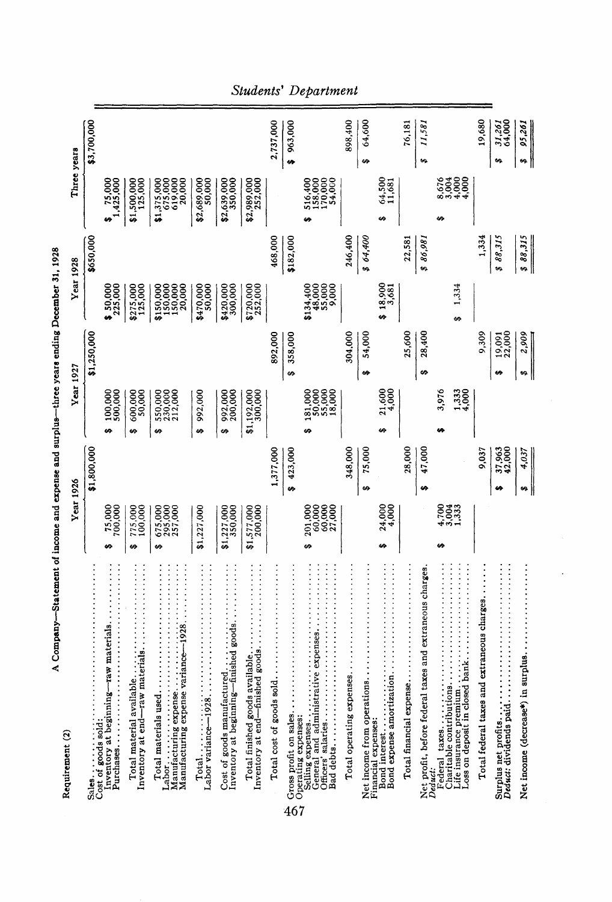| Requirement (2)                                                                                        | <b>Year 1926</b>                  |                  | <b>Year 1927</b>                    |                  |                                                                                   | <b>Year 1928</b> | Three years                                 |                        |  |
|--------------------------------------------------------------------------------------------------------|-----------------------------------|------------------|-------------------------------------|------------------|-----------------------------------------------------------------------------------|------------------|---------------------------------------------|------------------------|--|
| Sales<br>Cost of goods sold                                                                            |                                   | \$1,800,000      |                                     | \$1,250,000      |                                                                                   | \$650,000        |                                             | \$3,700,000            |  |
| Inventory at beginning-raw materials.                                                                  | $75,000$<br>$700,000$<br>۵ġ       |                  | 100,000<br>500,000<br>۵Ó            |                  | 30,000                                                                            |                  | 1,425,000                                   |                        |  |
| Inventory at end—raw materials<br>Total material available                                             | 775,000<br>100,000<br>ts,         |                  | 600,000<br>50,000<br>s,             |                  | \$275,000<br>125,000                                                              |                  | \$1,500,000<br>125,000                      |                        |  |
| Manufacturing expense variance-1928.<br>Manufacturing expense<br>Total materials used                  | 675,000<br>295,000<br>257,000     |                  | 550,000<br>230,000<br>212,000<br>4A |                  | $\begin{array}{c} 150,000 \\ 150,000 \\ 150,000 \\ 150,000 \\ 20,000 \end{array}$ |                  | \$1,375,000<br>675,000<br>619,000<br>20,000 |                        |  |
|                                                                                                        | \$1,227,000                       |                  | 992,000<br>se,                      |                  | \$470,000<br>50,000                                                               |                  | \$2,689,000<br>50,000                       |                        |  |
| Inventory at beginning-finished goods.<br>Cost of goods manufactured.                                  | \$1,227,000<br>350,000            |                  | 992,000<br>200,000<br>4A            |                  | \$420,000<br>300,000                                                              |                  | \$2,639,000<br>350,000                      |                        |  |
| Total finished goods available<br>Inventory at end-finished goods.                                     | \$1,577,000                       |                  | \$1,192,000<br>300,000              |                  | \$720,000<br>252,000                                                              |                  | \$2,989,000<br>252,000                      |                        |  |
| Total cost of goods sold                                                                               |                                   | 1,377,000        |                                     | 892,000          |                                                                                   | 468,000          |                                             | 2,737,000              |  |
| Gross profit on sales.<br>Operating expenses:<br>467                                                   |                                   | \$423,000        |                                     | \$358,000        |                                                                                   | \$182,000        |                                             | \$963,000              |  |
| General and administrative expenses.<br>Officers' salaries<br>Selling expenses<br>Bad debts            | 60,000<br>201,000<br>60,000<br>۵À |                  | 50,000<br>55,000<br>181,000<br>40   |                  | \$134,400<br>48,000<br>55,000<br>9,000                                            |                  | 158,000<br>170,000<br>54,000<br>516,400     |                        |  |
| Total operating expenses.                                                                              |                                   | 348,000          |                                     | 304,000          |                                                                                   | 246,400          |                                             | 898,400                |  |
| Net income from operations<br>Financial expenses:                                                      |                                   | 75,000<br>6Ą)    |                                     | 54,000<br>ċ9     |                                                                                   | \$ 64,400        |                                             | 64,600<br>69           |  |
| Bond expense amortization.<br>Bond interest                                                            | 24,000<br>4,000                   |                  | 21,600<br>4,000                     |                  | $$18,900$<br>$3,681$                                                              |                  | 64,500<br>11,681                            |                        |  |
| Total financial expense.                                                                               |                                   | 28,000           |                                     | 25,600           |                                                                                   | 22,581           |                                             | 76,181                 |  |
| Net profit, before federal taxes and extraneous charges<br>Deduct:                                     |                                   | 47,000<br>69     |                                     | 28,400<br>¢9     |                                                                                   | 86,981           |                                             | 11,581<br>69           |  |
| Federal taxes<br>Charitable contributions<br>Loss on deposit in closed bank<br>life insurance premium. | 4,700<br>4,3,33                   |                  | 3.976<br>1,333<br>4,000             |                  | 1,334<br>۵Ą                                                                       |                  | $8,0000$<br>$8,0000$<br>$8,0000$            |                        |  |
| Total federal taxes and extraneous charges.                                                            |                                   | 9,037            |                                     | 9,309            |                                                                                   | 1,334            |                                             | 19,680                 |  |
| Surplus net profits<br>Deduct: dividends paid                                                          |                                   | 37,963<br>42,000 |                                     | 19,091<br>22,000 |                                                                                   | \$88,315         |                                             | 31,261<br>64,000<br>Ġ9 |  |
| Net income (decrease*) in surplus                                                                      |                                   | 4,037            |                                     | 2,909<br>Ġ٩      |                                                                                   | \$88,315         |                                             | 95,261                 |  |

A Company-Statement of income and expense and surplus-three years ending December 31, 1928 —Statement of income and expense and surplus —three years ending December 31, 1928 *Students' Department*